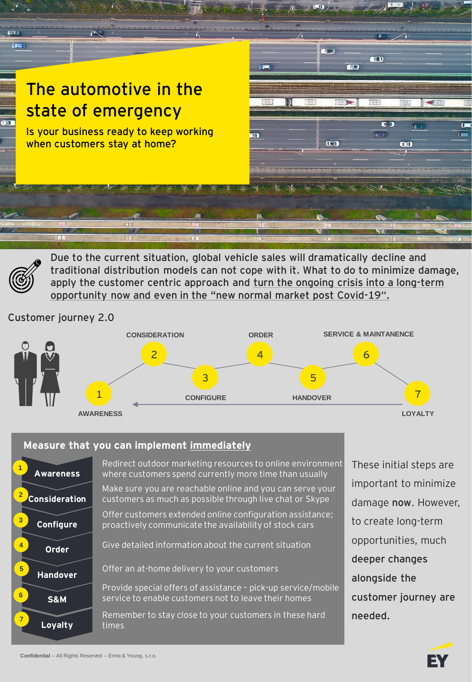

**Due to the current situation, global vehicle sales will dramatically decline and traditional distribution models can not cope with it. What to do to minimize damage, apply the customer centric approach and turn the ongoing crisis into a long-term opportunity now and even in the "new normal market post Covid-19".**

Customer journey 2.0



## **Measure that you can implement immediately**



Redirect outdoor marketing resources to online environment where customers spend currently more time than usually Make sure you are reachable online and you can serve your

Offer customers extended online configuration assistance; proactively communicate the availability of stock cars

customers as much as possible through live chat or Skype

Give detailed information about the current situation

Offer an at-home delivery to your customers

Provide special offers of assistance – pick-up service/mobile service to enable customers not to leave their homes

Remember to stay close to your customers in these hard times

These initial steps are important to minimize damage **now**. However, to create long-term opportunities, much **deeper changes alongside the customer journey are needed.**